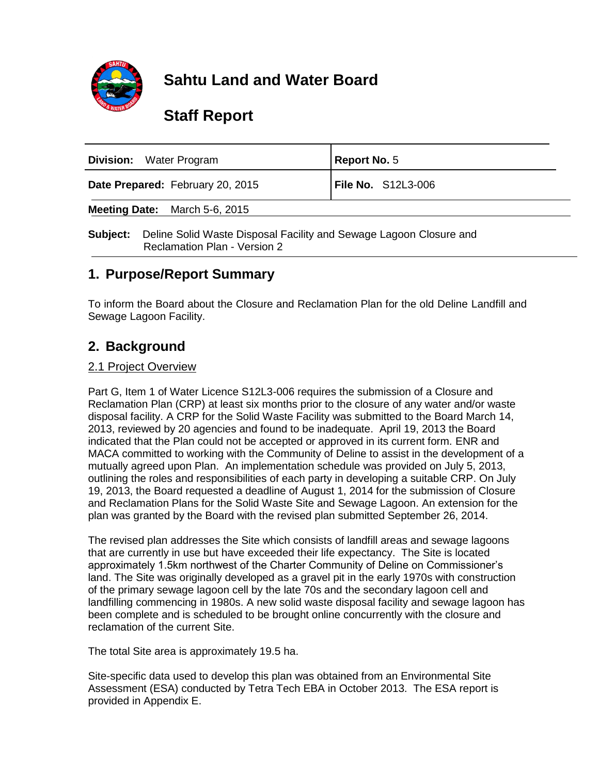

# **Sahtu Land and Water Board**

# **Staff Report**

| <b>Division:</b> Water Program       | Report No. 5       |
|--------------------------------------|--------------------|
| Date Prepared: February 20, 2015     | File No. S12L3-006 |
| <b>Meeting Date:</b> March 5-6, 2015 |                    |

**Subject:** Deline Solid Waste Disposal Facility and Sewage Lagoon Closure and Reclamation Plan - Version 2

## **1. Purpose/Report Summary**

To inform the Board about the Closure and Reclamation Plan for the old Deline Landfill and Sewage Lagoon Facility.

# **2. Background**

#### 2.1 Project Overview

Part G, Item 1 of Water Licence S12L3-006 requires the submission of a Closure and Reclamation Plan (CRP) at least six months prior to the closure of any water and/or waste disposal facility. A CRP for the Solid Waste Facility was submitted to the Board March 14, 2013, reviewed by 20 agencies and found to be inadequate. April 19, 2013 the Board indicated that the Plan could not be accepted or approved in its current form. ENR and MACA committed to working with the Community of Deline to assist in the development of a mutually agreed upon Plan. An implementation schedule was provided on July 5, 2013, outlining the roles and responsibilities of each party in developing a suitable CRP. On July 19, 2013, the Board requested a deadline of August 1, 2014 for the submission of Closure and Reclamation Plans for the Solid Waste Site and Sewage Lagoon. An extension for the plan was granted by the Board with the revised plan submitted September 26, 2014.

The revised plan addresses the Site which consists of landfill areas and sewage lagoons that are currently in use but have exceeded their life expectancy. The Site is located approximately 1.5km northwest of the Charter Community of Deline on Commissioner's land. The Site was originally developed as a gravel pit in the early 1970s with construction of the primary sewage lagoon cell by the late 70s and the secondary lagoon cell and landfilling commencing in 1980s. A new solid waste disposal facility and sewage lagoon has been complete and is scheduled to be brought online concurrently with the closure and reclamation of the current Site.

The total Site area is approximately 19.5 ha.

Site-specific data used to develop this plan was obtained from an Environmental Site Assessment (ESA) conducted by Tetra Tech EBA in October 2013. The ESA report is provided in Appendix E.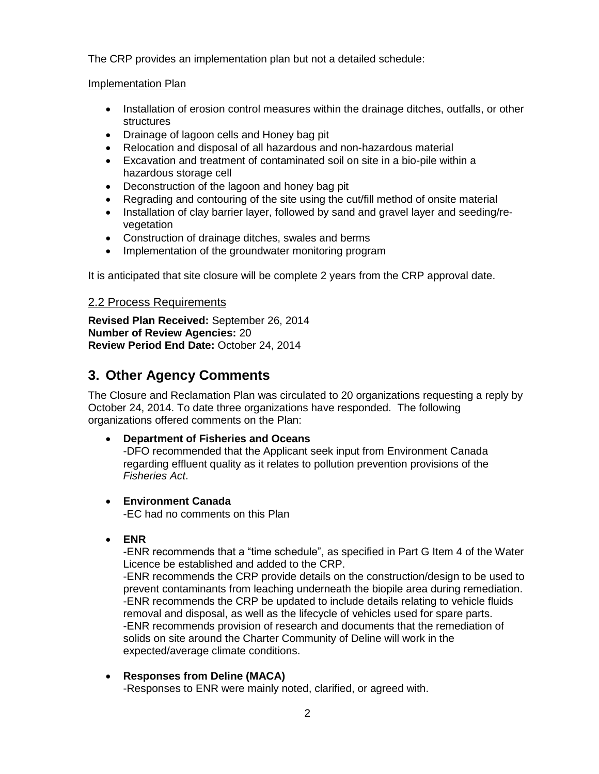The CRP provides an implementation plan but not a detailed schedule:

#### Implementation Plan

- Installation of erosion control measures within the drainage ditches, outfalls, or other structures
- Drainage of lagoon cells and Honey bag pit
- Relocation and disposal of all hazardous and non-hazardous material
- Excavation and treatment of contaminated soil on site in a bio-pile within a hazardous storage cell
- Deconstruction of the lagoon and honey bag pit
- Regrading and contouring of the site using the cut/fill method of onsite material
- Installation of clay barrier layer, followed by sand and gravel layer and seeding/revegetation
- Construction of drainage ditches, swales and berms
- Implementation of the groundwater monitoring program

It is anticipated that site closure will be complete 2 years from the CRP approval date.

#### 2.2 Process Requirements

**Revised Plan Received:** September 26, 2014 **Number of Review Agencies:** 20 **Review Period End Date:** October 24, 2014

# **3. Other Agency Comments**

The Closure and Reclamation Plan was circulated to 20 organizations requesting a reply by October 24, 2014. To date three organizations have responded. The following organizations offered comments on the Plan:

#### **Department of Fisheries and Oceans**

-DFO recommended that the Applicant seek input from Environment Canada regarding effluent quality as it relates to pollution prevention provisions of the *Fisheries Act*.

- **Environment Canada** -EC had no comments on this Plan
- **ENR**

-ENR recommends that a "time schedule", as specified in Part G Item 4 of the Water Licence be established and added to the CRP.

-ENR recommends the CRP provide details on the construction/design to be used to prevent contaminants from leaching underneath the biopile area during remediation. -ENR recommends the CRP be updated to include details relating to vehicle fluids removal and disposal, as well as the lifecycle of vehicles used for spare parts. -ENR recommends provision of research and documents that the remediation of solids on site around the Charter Community of Deline will work in the expected/average climate conditions.

**Responses from Deline (MACA)**

-Responses to ENR were mainly noted, clarified, or agreed with.